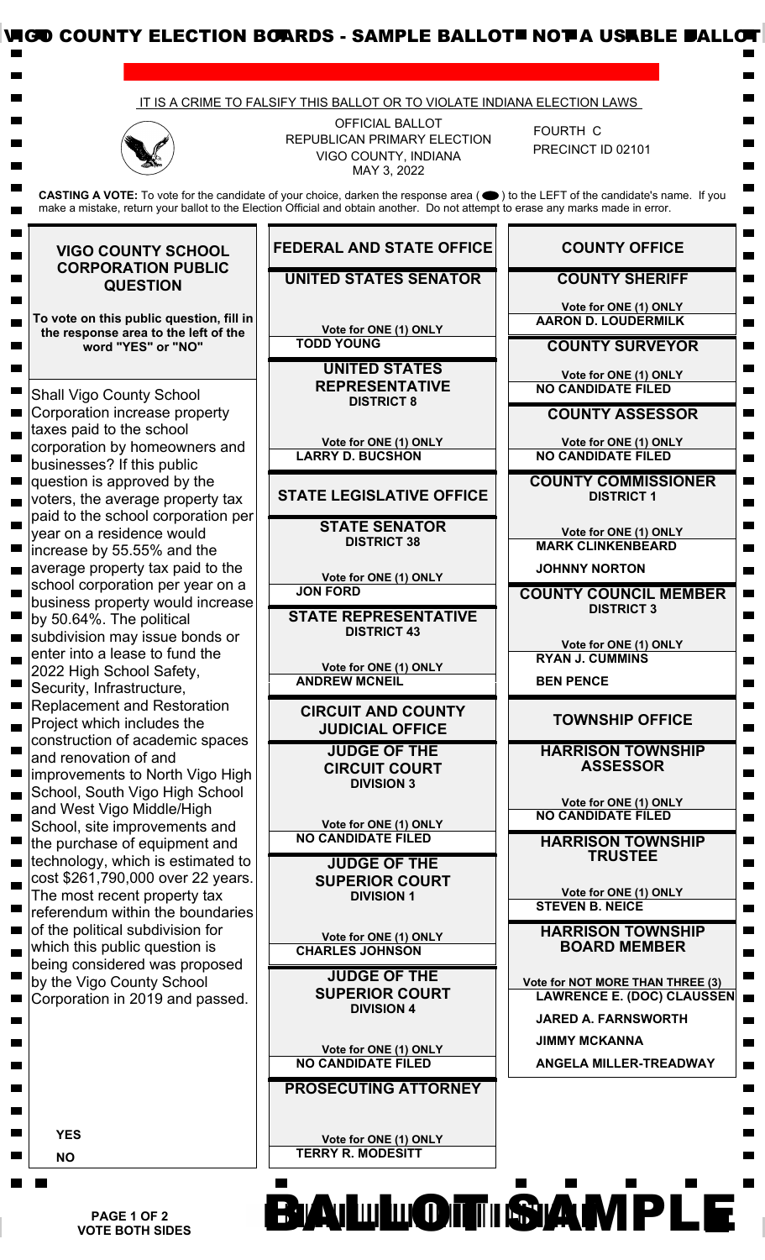

 **PAGE 1 OF 2 VOTE BOTH SIDES**